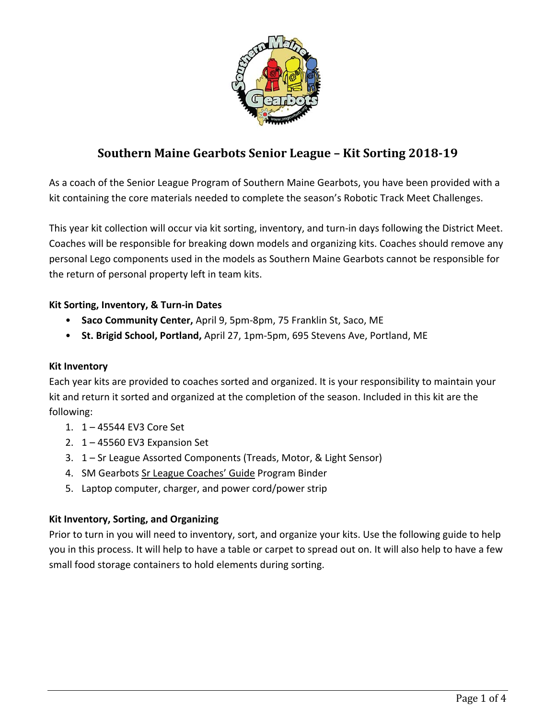

# **Southern Maine Gearbots Senior League – Kit Sorting 2018‐19**

As a coach of the Senior League Program of Southern Maine Gearbots, you have been provided with a kit containing the core materials needed to complete the season's Robotic Track Meet Challenges.

This year kit collection will occur via kit sorting, inventory, and turn‐in days following the District Meet. Coaches will be responsible for breaking down models and organizing kits. Coaches should remove any personal Lego components used in the models as Southern Maine Gearbots cannot be responsible for the return of personal property left in team kits.

# **Kit Sorting, Inventory, & Turn‐in Dates**

- **Saco Community Center,** April 9, 5pm‐8pm, 75 Franklin St, Saco, ME
- **St. Brigid School, Portland,** April 27, 1pm‐5pm, 695 Stevens Ave, Portland, ME

## **Kit Inventory**

Each year kits are provided to coaches sorted and organized. It is your responsibility to maintain your kit and return it sorted and organized at the completion of the season. Included in this kit are the following:

- 1. 1 45544 EV3 Core Set
- 2. 1 45560 EV3 Expansion Set
- 3. 1 Sr League Assorted Components (Treads, Motor, & Light Sensor)
- 4. SM Gearbots Sr League Coaches' Guide Program Binder
- 5. Laptop computer, charger, and power cord/power strip

## **Kit Inventory, Sorting, and Organizing**

Prior to turn in you will need to inventory, sort, and organize your kits. Use the following guide to help you in this process. It will help to have a table or carpet to spread out on. It will also help to have a few small food storage containers to hold elements during sorting.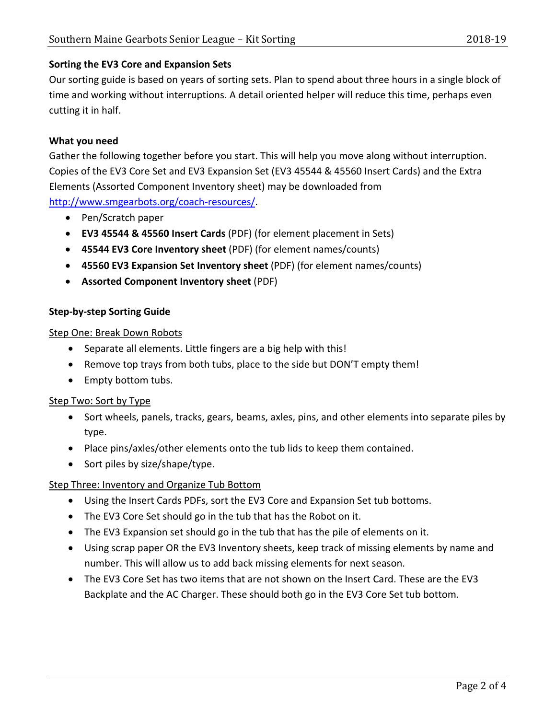# **Sorting the EV3 Core and Expansion Sets**

Our sorting guide is based on years of sorting sets. Plan to spend about three hours in a single block of time and working without interruptions. A detail oriented helper will reduce this time, perhaps even cutting it in half.

# **What you need**

Gather the following together before you start. This will help you move along without interruption. Copies of the EV3 Core Set and EV3 Expansion Set (EV3 45544 & 45560 Insert Cards) and the Extra Elements (Assorted Component Inventory sheet) may be downloaded from http://www.smgearbots.org/coach‐resources/.

- Pen/Scratch paper
- **EV3 45544 & 45560 Insert Cards** (PDF) (for element placement in Sets)
- **45544 EV3 Core Inventory sheet** (PDF) (for element names/counts)
- **45560 EV3 Expansion Set Inventory sheet** (PDF) (for element names/counts)
- **Assorted Component Inventory sheet** (PDF)

# **Step‐by‐step Sorting Guide**

## Step One: Break Down Robots

- Separate all elements. Little fingers are a big help with this!
- Remove top trays from both tubs, place to the side but DON'T empty them!
- Empty bottom tubs.

## Step Two: Sort by Type

- Sort wheels, panels, tracks, gears, beams, axles, pins, and other elements into separate piles by type.
- Place pins/axles/other elements onto the tub lids to keep them contained.
- Sort piles by size/shape/type.

# Step Three: Inventory and Organize Tub Bottom

- Using the Insert Cards PDFs, sort the EV3 Core and Expansion Set tub bottoms.
- The EV3 Core Set should go in the tub that has the Robot on it.
- The EV3 Expansion set should go in the tub that has the pile of elements on it.
- Using scrap paper OR the EV3 Inventory sheets, keep track of missing elements by name and number. This will allow us to add back missing elements for next season.
- The EV3 Core Set has two items that are not shown on the Insert Card. These are the EV3 Backplate and the AC Charger. These should both go in the EV3 Core Set tub bottom.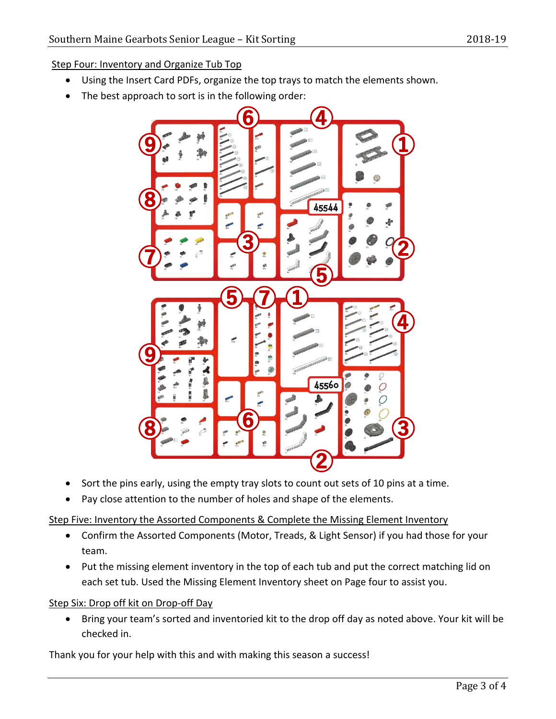Step Four: Inventory and Organize Tub Top

- Using the Insert Card PDFs, organize the top trays to match the elements shown.
- The best approach to sort is in the following order:



- Sort the pins early, using the empty tray slots to count out sets of 10 pins at a time.
- Pay close attention to the number of holes and shape of the elements.

#### Step Five: Inventory the Assorted Components & Complete the Missing Element Inventory

- Confirm the Assorted Components (Motor, Treads, & Light Sensor) if you had those for your team.
- Put the missing element inventory in the top of each tub and put the correct matching lid on each set tub. Used the Missing Element Inventory sheet on Page four to assist you.

## Step Six: Drop off kit on Drop-off Day

 Bring your team's sorted and inventoried kit to the drop off day as noted above. Your kit will be checked in.

Thank you for your help with this and with making this season a success!